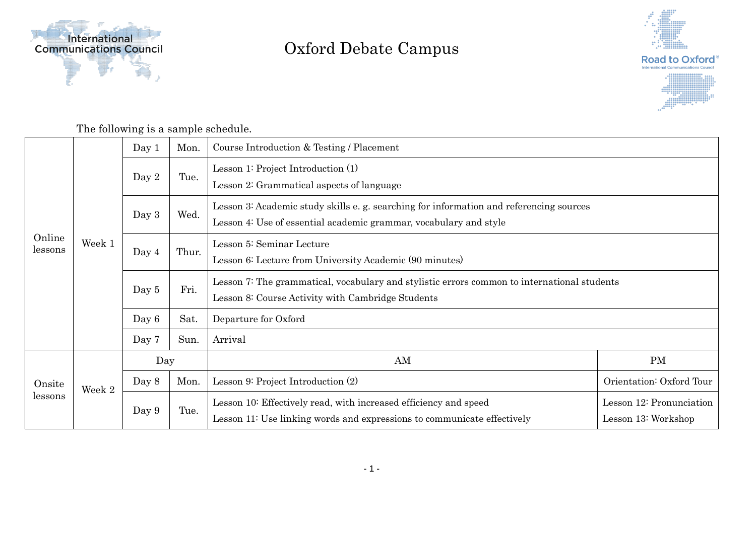

## Oxford Debate Campus



The following is a sample schedule.

| Online<br>lessons | Week 1 | Day 1   | Mon.  | Course Introduction & Testing / Placement                                                                                                                   |                                                 |  |
|-------------------|--------|---------|-------|-------------------------------------------------------------------------------------------------------------------------------------------------------------|-------------------------------------------------|--|
|                   |        | Day 2   | Tue.  | Lesson 1: Project Introduction (1)<br>Lesson 2: Grammatical aspects of language                                                                             |                                                 |  |
|                   |        | Day $3$ | Wed.  | Lesson 3: Academic study skills e.g. searching for information and referencing sources<br>Lesson 4: Use of essential academic grammar, vocabulary and style |                                                 |  |
|                   |        | Day 4   | Thur. | Lesson 5: Seminar Lecture<br>Lesson 6: Lecture from University Academic (90 minutes)                                                                        |                                                 |  |
|                   |        | Day 5   | Fri.  | Lesson 7: The grammatical, vocabulary and stylistic errors common to international students<br>Lesson 8: Course Activity with Cambridge Students            |                                                 |  |
|                   |        | Day 6   | Sat.  | Departure for Oxford                                                                                                                                        |                                                 |  |
|                   |        | Day 7   | Sun.  | Arrival                                                                                                                                                     |                                                 |  |
| Onsite<br>lessons | Week 2 | Day     |       | AM                                                                                                                                                          | <b>PM</b>                                       |  |
|                   |        | Day 8   | Mon.  | Lesson 9: Project Introduction (2)                                                                                                                          | Orientation: Oxford Tour                        |  |
|                   |        | Day 9   | Tue.  | Lesson 10: Effectively read, with increased efficiency and speed<br>Lesson 11: Use linking words and expressions to communicate effectively                 | Lesson 12: Pronunciation<br>Lesson 13: Workshop |  |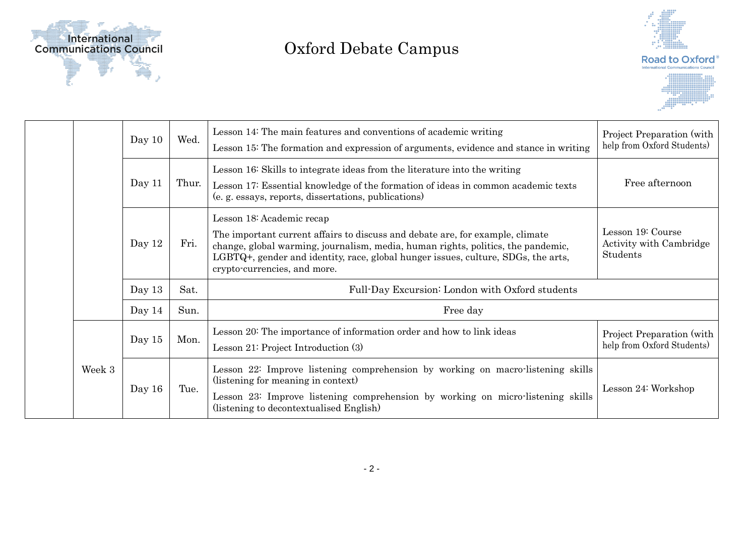

## Oxford Debate Campus



|  |        | Day $10$ | Wed.  | Lesson 14: The main features and conventions of academic writing<br>Lesson 15: The formation and expression of arguments, evidence and stance in writing                                                                                                                                                            | Project Preparation (with<br>help from Oxford Students)         |  |
|--|--------|----------|-------|---------------------------------------------------------------------------------------------------------------------------------------------------------------------------------------------------------------------------------------------------------------------------------------------------------------------|-----------------------------------------------------------------|--|
|  |        | Day 11   | Thur. | Lesson 16: Skills to integrate ideas from the literature into the writing<br>Lesson 17: Essential knowledge of the formation of ideas in common academic texts<br>(e. g. essays, reports, dissertations, publications)                                                                                              | Free afternoon                                                  |  |
|  |        | Day 12   | Fri.  | Lesson 18: Academic recap<br>The important current affairs to discuss and debate are, for example, climate<br>change, global warming, journalism, media, human rights, politics, the pandemic,<br>LGBTQ+, gender and identity, race, global hunger issues, culture, SDGs, the arts,<br>crypto-currencies, and more. | Lesson 19: Course<br>Activity with Cambridge<br><b>Students</b> |  |
|  |        | Day $13$ | Sat.  | Full-Day Excursion: London with Oxford students                                                                                                                                                                                                                                                                     |                                                                 |  |
|  |        | Day $14$ | Sun.  | Free day                                                                                                                                                                                                                                                                                                            |                                                                 |  |
|  | Week 3 | Day $15$ | Mon.  | Lesson 20: The importance of information order and how to link ideas<br>Lesson $21$ : Project Introduction $(3)$                                                                                                                                                                                                    | Project Preparation (with<br>help from Oxford Students)         |  |
|  |        | Day 16   | Tue.  | Lesson 22: Improve listening comprehension by working on macro-listening skills<br>(listening for meaning in context)<br>Lesson 23: Improve listening comprehension by working on micro-listening skills<br>(listening to decontextualised English)                                                                 | Lesson 24: Workshop                                             |  |